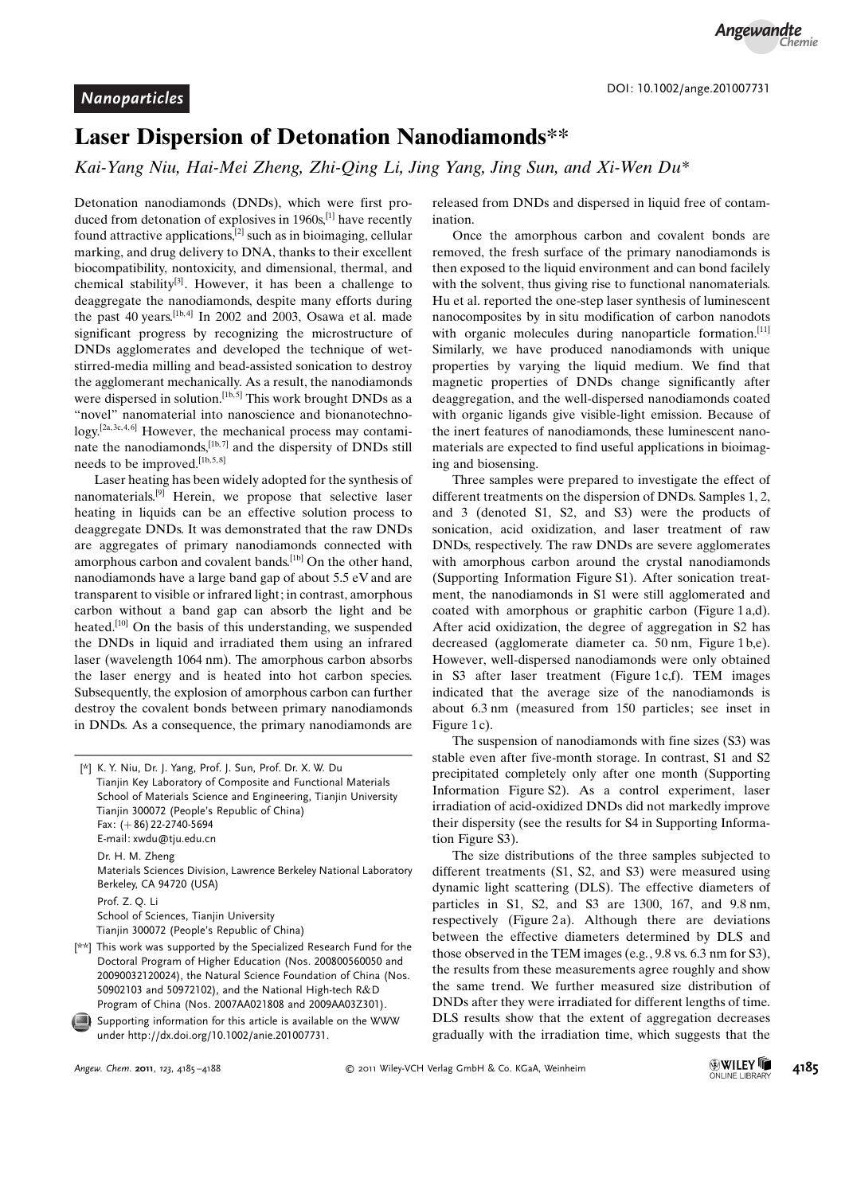### Laser Dispersion of Detonation Nanodiamonds\*\*

Kai-Yang Niu, Hai-Mei Zheng, Zhi-Qing Li, Jing Yang, Jing Sun, and Xi-Wen Du\*

Detonation nanodiamonds (DNDs), which were first produced from detonation of explosives in  $1960s$ <sup>[1]</sup> have recently found attractive applications,[2] such as in bioimaging, cellular marking, and drug delivery to DNA, thanks to their excellent biocompatibility, nontoxicity, and dimensional, thermal, and chemical stability<sup>[3]</sup>. However, it has been a challenge to deaggregate the nanodiamonds, despite many efforts during the past 40 years.  $[1b, 4]$  In 2002 and 2003, Osawa et al. made significant progress by recognizing the microstructure of DNDs agglomerates and developed the technique of wetstirred-media milling and bead-assisted sonication to destroy the agglomerant mechanically. As a result, the nanodiamonds were dispersed in solution.<sup>[1b,5]</sup> This work brought DNDs as a "novel" nanomaterial into nanoscience and bionanotechnology.<sup>[2a, 3c, 4, 6]</sup> However, the mechanical process may contaminate the nanodiamonds, $[1b, 7]$  and the dispersity of DNDs still needs to be improved.<sup>[1b,5,8]</sup>

Laser heating has been widely adopted for the synthesis of nanomaterials.[9] Herein, we propose that selective laser heating in liquids can be an effective solution process to deaggregate DNDs. It was demonstrated that the raw DNDs are aggregates of primary nanodiamonds connected with amorphous carbon and covalent bands.<sup>[1b]</sup> On the other hand, nanodiamonds have a large band gap of about 5.5 eV and are transparent to visible or infrared light; in contrast, amorphous carbon without a band gap can absorb the light and be heated.<sup>[10]</sup> On the basis of this understanding, we suspended the DNDs in liquid and irradiated them using an infrared laser (wavelength 1064 nm). The amorphous carbon absorbs the laser energy and is heated into hot carbon species. Subsequently, the explosion of amorphous carbon can further destroy the covalent bonds between primary nanodiamonds in DNDs. As a consequence, the primary nanodiamonds are

Supporting information for this article is available on the WWW under<http://dx.doi.org/10.1002/anie.201007731>.

released from DNDs and dispersed in liquid free of contamination.

Once the amorphous carbon and covalent bonds are removed, the fresh surface of the primary nanodiamonds is then exposed to the liquid environment and can bond facilely with the solvent, thus giving rise to functional nanomaterials. Hu et al. reported the one-step laser synthesis of luminescent nanocomposites by in situ modification of carbon nanodots with organic molecules during nanoparticle formation.<sup>[11]</sup> Similarly, we have produced nanodiamonds with unique properties by varying the liquid medium. We find that magnetic properties of DNDs change significantly after deaggregation, and the well-dispersed nanodiamonds coated with organic ligands give visible-light emission. Because of the inert features of nanodiamonds, these luminescent nanomaterials are expected to find useful applications in bioimaging and biosensing.

Three samples were prepared to investigate the effect of different treatments on the dispersion of DNDs. Samples 1, 2, and 3 (denoted S1, S2, and S3) were the products of sonication, acid oxidization, and laser treatment of raw DNDs, respectively. The raw DNDs are severe agglomerates with amorphous carbon around the crystal nanodiamonds (Supporting Information Figure S1). After sonication treatment, the nanodiamonds in S1 were still agglomerated and coated with amorphous or graphitic carbon (Figure 1 a,d). After acid oxidization, the degree of aggregation in S2 has decreased (agglomerate diameter ca. 50 nm, Figure 1 b,e). However, well-dispersed nanodiamonds were only obtained in S3 after laser treatment (Figure 1 $c.f$ ). TEM images indicated that the average size of the nanodiamonds is about 6.3 nm (measured from 150 particles; see inset in Figure 1c).

The suspension of nanodiamonds with fine sizes (S3) was stable even after five-month storage. In contrast, S1 and S2 precipitated completely only after one month (Supporting Information Figure S2). As a control experiment, laser irradiation of acid-oxidized DNDs did not markedly improve their dispersity (see the results for S4 in Supporting Information Figure S3).

The size distributions of the three samples subjected to different treatments (S1, S2, and S3) were measured using dynamic light scattering (DLS). The effective diameters of particles in S1, S2, and S3 are 1300, 167, and 9.8 nm, respectively (Figure 2a). Although there are deviations between the effective diameters determined by DLS and those observed in the TEM images (e.g., 9.8 vs. 6.3 nm for S3), the results from these measurements agree roughly and show the same trend. We further measured size distribution of DNDs after they were irradiated for different lengths of time. DLS results show that the extent of aggregation decreases gradually with the irradiation time, which suggests that the

<sup>[\*]</sup> K. Y. Niu, Dr. J. Yang, Prof. J. Sun, Prof. Dr. X. W. Du Tianjin Key Laboratory of Composite and Functional Materials School of Materials Science and Engineering, Tianjin University Tianjin 300072 (People's Republic of China) Fax: (+86) 22-2740-5694 E-mail: xwdu@tju.edu.cn Dr. H. M. Zheng Materials Sciences Division, Lawrence Berkeley National Laboratory Berkeley, CA 94720 (USA) Prof. Z. Q. Li School of Sciences, Tianjin University Tianjin 300072 (People's Republic of China)

<sup>[\*\*]</sup> This work was supported by the Specialized Research Fund for the Doctoral Program of Higher Education (Nos. 200800560050 and 20090032120024), the Natural Science Foundation of China (Nos. 50902103 and 50972102), and the National High-tech R&D Program of China (Nos. 2007AA021808 and 2009AA03Z301).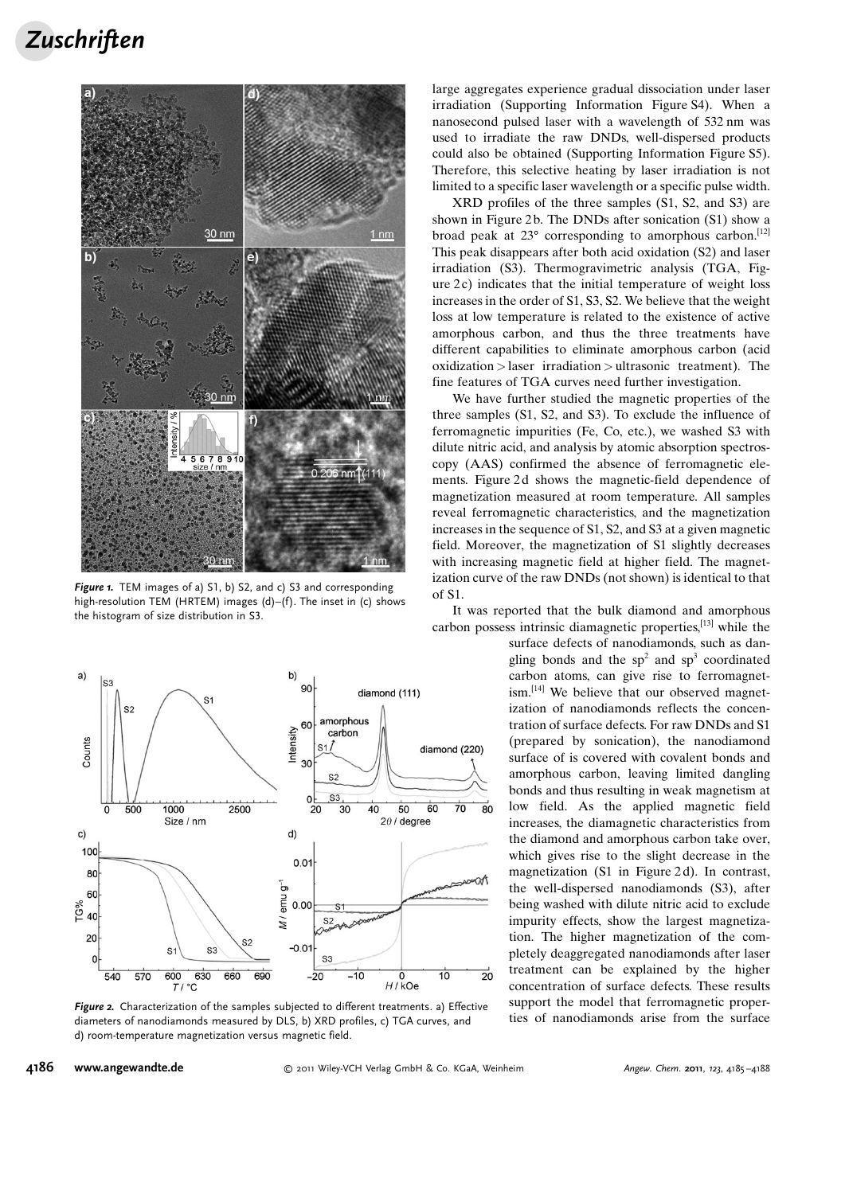# **Zuschriften**



Figure 1. TEM images of a) S1, b) S2, and c) S3 and corresponding high-resolution TEM (HRTEM) images (d)–(f). The inset in (c) shows the histogram of size distribution in S3.



Figure 2. Characterization of the samples subjected to different treatments. a) Effective diameters of nanodiamonds measured by DLS, b) XRD profiles, c) TGA curves, and d) room-temperature magnetization versus magnetic field.

large aggregates experience gradual dissociation under laser irradiation (Supporting Information Figure S4). When a nanosecond pulsed laser with a wavelength of 532 nm was used to irradiate the raw DNDs, well-dispersed products could also be obtained (Supporting Information Figure S5). Therefore, this selective heating by laser irradiation is not limited to a specific laser wavelength or a specific pulse width.

XRD profiles of the three samples (S1, S2, and S3) are shown in Figure 2b. The DNDs after sonication (S1) show a broad peak at  $23^{\circ}$  corresponding to amorphous carbon.<sup>[12]</sup> This peak disappears after both acid oxidation (S2) and laser irradiation (S3). Thermogravimetric analysis (TGA, Figure  $2c$ ) indicates that the initial temperature of weight loss increases in the order of S1, S3, S2. We believe that the weight loss at low temperature is related to the existence of active amorphous carbon, and thus the three treatments have different capabilities to eliminate amorphous carbon (acid oxidization > laser irradiation > ultrasonic treatment). The fine features of TGA curves need further investigation.

We have further studied the magnetic properties of the three samples (S1, S2, and S3). To exclude the influence of ferromagnetic impurities (Fe, Co, etc.), we washed S3 with dilute nitric acid, and analysis by atomic absorption spectroscopy (AAS) confirmed the absence of ferromagnetic elements. Figure 2d shows the magnetic-field dependence of magnetization measured at room temperature. All samples reveal ferromagnetic characteristics, and the magnetization increases in the sequence of S1, S2, and S3 at a given magnetic field. Moreover, the magnetization of S1 slightly decreases with increasing magnetic field at higher field. The magnetization curve of the raw DNDs (not shown) is identical to that of S1.

It was reported that the bulk diamond and amorphous carbon possess intrinsic diamagnetic properties,[13] while the

surface defects of nanodiamonds, such as dangling bonds and the  $sp^2$  and  $sp^3$  coordinated carbon atoms, can give rise to ferromagnetism.<sup>[14]</sup> We believe that our observed magnetization of nanodiamonds reflects the concentration of surface defects. For raw DNDs and S1 (prepared by sonication), the nanodiamond surface of is covered with covalent bonds and amorphous carbon, leaving limited dangling bonds and thus resulting in weak magnetism at low field. As the applied magnetic field increases, the diamagnetic characteristics from the diamond and amorphous carbon take over, which gives rise to the slight decrease in the magnetization (S1 in Figure 2d). In contrast, the well-dispersed nanodiamonds (S3), after being washed with dilute nitric acid to exclude impurity effects, show the largest magnetization. The higher magnetization of the completely deaggregated nanodiamonds after laser treatment can be explained by the higher concentration of surface defects. These results support the model that ferromagnetic properties of nanodiamonds arise from the surface

#### 4186 [www.angewandte.de](http://www.angewandte.de)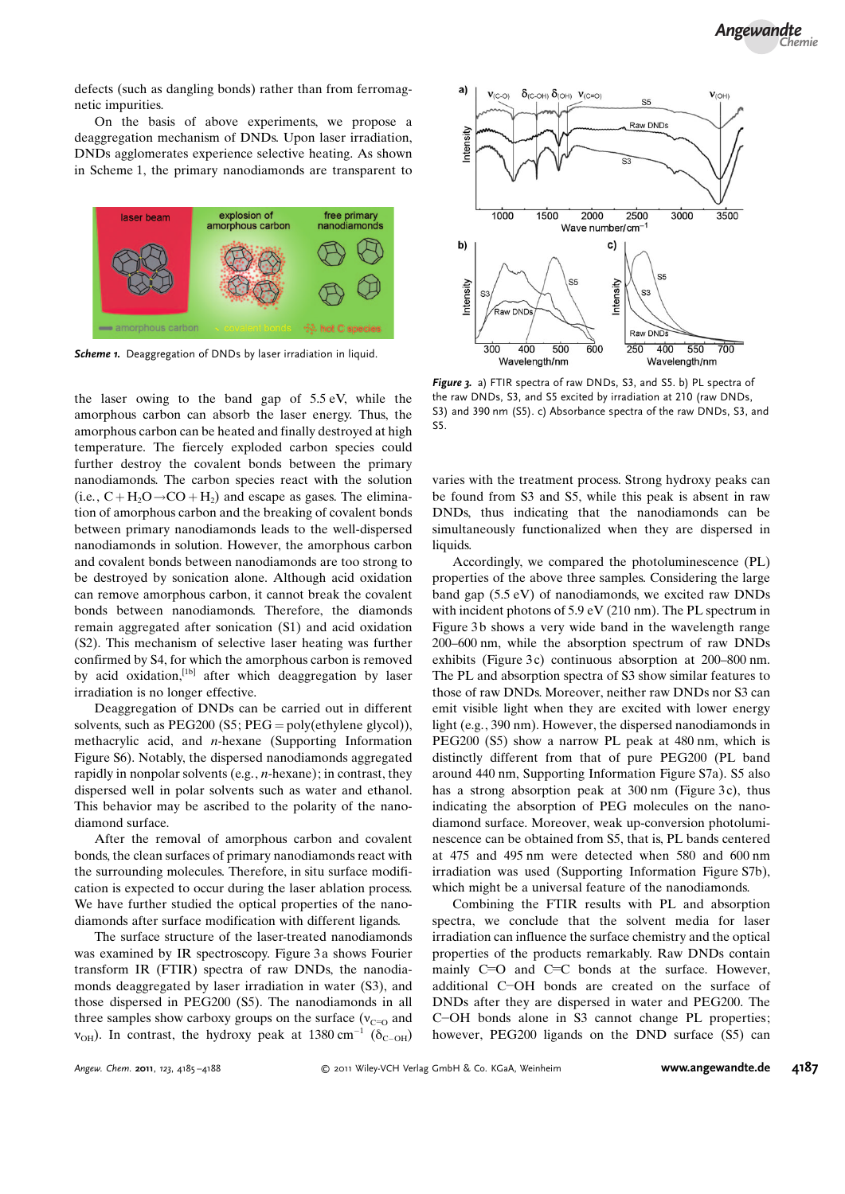defects (such as dangling bonds) rather than from ferromagnetic impurities.

On the basis of above experiments, we propose a deaggregation mechanism of DNDs. Upon laser irradiation, DNDs agglomerates experience selective heating. As shown in Scheme 1, the primary nanodiamonds are transparent to



Scheme 1. Deaggregation of DNDs by laser irradiation in liquid.

the laser owing to the band gap of 5.5 eV, while the amorphous carbon can absorb the laser energy. Thus, the amorphous carbon can be heated and finally destroyed at high temperature. The fiercely exploded carbon species could further destroy the covalent bonds between the primary nanodiamonds. The carbon species react with the solution (i.e.,  $C + H_2O \rightarrow CO + H_2$ ) and escape as gases. The elimination of amorphous carbon and the breaking of covalent bonds between primary nanodiamonds leads to the well-dispersed nanodiamonds in solution. However, the amorphous carbon and covalent bonds between nanodiamonds are too strong to be destroyed by sonication alone. Although acid oxidation can remove amorphous carbon, it cannot break the covalent bonds between nanodiamonds. Therefore, the diamonds remain aggregated after sonication (S1) and acid oxidation (S2). This mechanism of selective laser heating was further confirmed by S4, for which the amorphous carbon is removed by acid oxidation,<sup>[1b]</sup> after which deaggregation by laser irradiation is no longer effective.

Deaggregation of DNDs can be carried out in different solvents, such as  $PEG200$  (S5;  $PEG = poly(\text{ethylene glycol})$ ), methacrylic acid, and n-hexane (Supporting Information Figure S6). Notably, the dispersed nanodiamonds aggregated rapidly in nonpolar solvents (e.g., n-hexane); in contrast, they dispersed well in polar solvents such as water and ethanol. This behavior may be ascribed to the polarity of the nanodiamond surface.

After the removal of amorphous carbon and covalent bonds, the clean surfaces of primary nanodiamonds react with the surrounding molecules. Therefore, in situ surface modification is expected to occur during the laser ablation process. We have further studied the optical properties of the nanodiamonds after surface modification with different ligands.

The surface structure of the laser-treated nanodiamonds was examined by IR spectroscopy. Figure 3 a shows Fourier transform IR (FTIR) spectra of raw DNDs, the nanodiamonds deaggregated by laser irradiation in water (S3), and those dispersed in PEG200 (S5). The nanodiamonds in all three samples show carboxy groups on the surface ( $v_{C=0}$  and  $v_{\text{OH}}$ ). In contrast, the hydroxy peak at 1380 cm<sup>-1</sup> ( $\delta_{\text{C}-\text{OH}}$ )



Figure 3. a) FTIR spectra of raw DNDs, S3, and S5. b) PL spectra of the raw DNDs, S3, and S5 excited by irradiation at 210 (raw DNDs, S3) and 390 nm (S5). c) Absorbance spectra of the raw DNDs, S3, and S5.

varies with the treatment process. Strong hydroxy peaks can be found from S3 and S5, while this peak is absent in raw DNDs, thus indicating that the nanodiamonds can be simultaneously functionalized when they are dispersed in liquids.

Accordingly, we compared the photoluminescence (PL) properties of the above three samples. Considering the large band gap (5.5 eV) of nanodiamonds, we excited raw DNDs with incident photons of 5.9 eV (210 nm). The PL spectrum in Figure 3b shows a very wide band in the wavelength range 200–600 nm, while the absorption spectrum of raw DNDs exhibits (Figure 3c) continuous absorption at 200–800 nm. The PL and absorption spectra of S3 show similar features to those of raw DNDs. Moreover, neither raw DNDs nor S3 can emit visible light when they are excited with lower energy light (e.g., 390 nm). However, the dispersed nanodiamonds in PEG200 (S5) show a narrow PL peak at 480 nm, which is distinctly different from that of pure PEG200 (PL band around 440 nm, Supporting Information Figure S7a). S5 also has a strong absorption peak at  $300 \text{ nm}$  (Figure 3c), thus indicating the absorption of PEG molecules on the nanodiamond surface. Moreover, weak up-conversion photoluminescence can be obtained from S5, that is, PL bands centered at 475 and 495 nm were detected when 580 and 600 nm irradiation was used (Supporting Information Figure S7b), which might be a universal feature of the nanodiamonds.

Combining the FTIR results with PL and absorption spectra, we conclude that the solvent media for laser irradiation can influence the surface chemistry and the optical properties of the products remarkably. Raw DNDs contain mainly C=O and C=C bonds at the surface. However, additional C-OH bonds are created on the surface of DNDs after they are dispersed in water and PEG200. The C-OH bonds alone in S3 cannot change PL properties; however, PEG200 ligands on the DND surface (S5) can